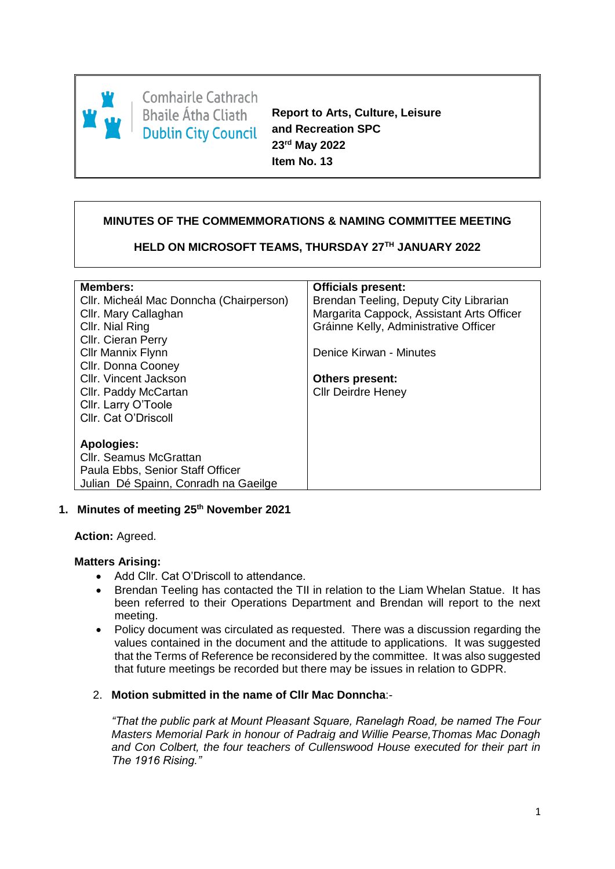

**Comhairle Cathrach Bhaile Átha Cliath Dublin City Council** 

**Report to Arts, Culture, Leisure and Recreation SPC 23rd May 2022 Item No. 13**

# **MINUTES OF THE COMMEMMORATIONS & NAMING COMMITTEE MEETING**

**HELD ON MICROSOFT TEAMS, THURSDAY 27TH JANUARY 2022**

| <b>Members:</b>                         | <b>Officials present:</b>                 |
|-----------------------------------------|-------------------------------------------|
| Cllr. Micheál Mac Donncha (Chairperson) | Brendan Teeling, Deputy City Librarian    |
| Cllr. Mary Callaghan                    | Margarita Cappock, Assistant Arts Officer |
| Cllr. Nial Ring                         | Gráinne Kelly, Administrative Officer     |
| Cllr. Cieran Perry                      |                                           |
| Cllr Mannix Flynn                       | Denice Kirwan - Minutes                   |
| Cllr. Donna Cooney                      |                                           |
| Cllr. Vincent Jackson                   | <b>Others present:</b>                    |
| Cllr. Paddy McCartan                    | <b>Cllr Deirdre Heney</b>                 |
| Cllr. Larry O'Toole                     |                                           |
| Cllr. Cat O'Driscoll                    |                                           |
|                                         |                                           |
| Apologies:                              |                                           |
| Cllr. Seamus McGrattan                  |                                           |
| Paula Ebbs, Senior Staff Officer        |                                           |
| Julian Dé Spainn, Conradh na Gaeilge    |                                           |

# **1. Minutes of meeting 25th November 2021**

**Action:** Agreed.

# **Matters Arising:**

- Add Cllr. Cat O'Driscoll to attendance.
- Brendan Teeling has contacted the TII in relation to the Liam Whelan Statue. It has been referred to their Operations Department and Brendan will report to the next meeting.
- Policy document was circulated as requested. There was a discussion regarding the values contained in the document and the attitude to applications. It was suggested that the Terms of Reference be reconsidered by the committee. It was also suggested that future meetings be recorded but there may be issues in relation to GDPR.

# 2. **Motion submitted in the name of Cllr Mac Donncha**:-

*"That the public park at Mount Pleasant Square, Ranelagh Road, be named The Four Masters Memorial Park in honour of Padraig and Willie Pearse,Thomas Mac Donagh and Con Colbert, the four teachers of Cullenswood House executed for their part in The 1916 Rising."*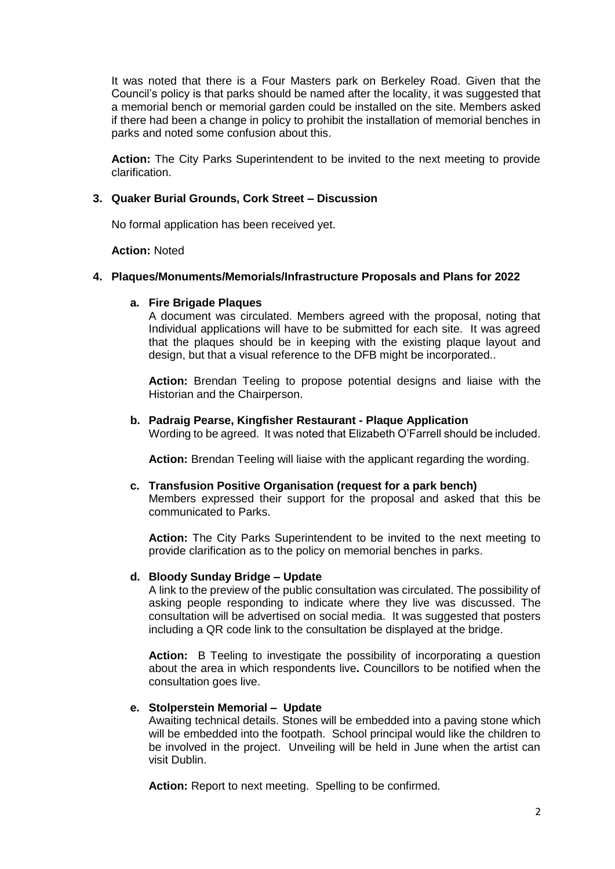It was noted that there is a Four Masters park on Berkeley Road. Given that the Council's policy is that parks should be named after the locality, it was suggested that a memorial bench or memorial garden could be installed on the site. Members asked if there had been a change in policy to prohibit the installation of memorial benches in parks and noted some confusion about this.

**Action:** The City Parks Superintendent to be invited to the next meeting to provide clarification.

# **3. Quaker Burial Grounds, Cork Street – Discussion**

No formal application has been received yet.

#### **Action:** Noted

#### **4. Plaques/Monuments/Memorials/Infrastructure Proposals and Plans for 2022**

#### **a. Fire Brigade Plaques**

A document was circulated. Members agreed with the proposal, noting that Individual applications will have to be submitted for each site. It was agreed that the plaques should be in keeping with the existing plaque layout and design, but that a visual reference to the DFB might be incorporated..

**Action:** Brendan Teeling to propose potential designs and liaise with the Historian and the Chairperson.

#### **b. Padraig Pearse, Kingfisher Restaurant - Plaque Application**

Wording to be agreed. It was noted that Elizabeth O'Farrell should be included.

**Action:** Brendan Teeling will liaise with the applicant regarding the wording.

#### **c. Transfusion Positive Organisation (request for a park bench)**

Members expressed their support for the proposal and asked that this be communicated to Parks.

**Action:** The City Parks Superintendent to be invited to the next meeting to provide clarification as to the policy on memorial benches in parks.

# **d. Bloody Sunday Bridge – Update**

A link to the preview of the public consultation was circulated. The possibility of asking people responding to indicate where they live was discussed. The consultation will be advertised on social media. It was suggested that posters including a QR code link to the consultation be displayed at the bridge.

**Action:** B Teeling to investigate the possibility of incorporating a question about the area in which respondents live**.** Councillors to be notified when the consultation goes live.

# **e. Stolperstein Memorial – Update**

Awaiting technical details. Stones will be embedded into a paving stone which will be embedded into the footpath. School principal would like the children to be involved in the project. Unveiling will be held in June when the artist can visit Dublin.

**Action:** Report to next meeting. Spelling to be confirmed.